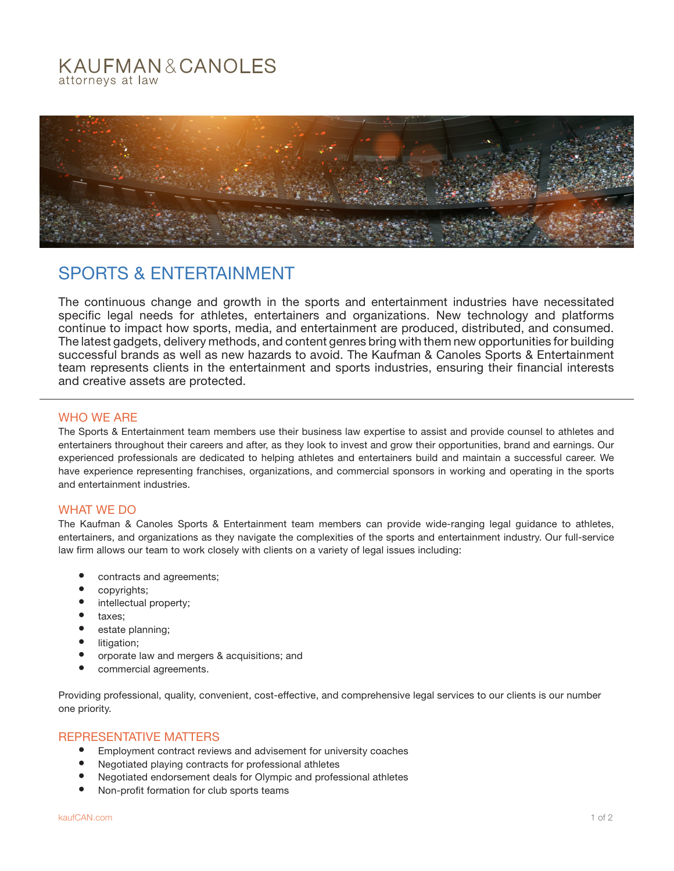## KAUFMAN&CANOLES attorneys at law



# SPORTS & ENTERTAINMENT

The continuous change and growth in the sports and entertainment industries have necessitated specific legal needs for athletes, entertainers and organizations. New technology and platforms continue to impact how sports, media, and entertainment are produced, distributed, and consumed. The latest gadgets, delivery methods, and content genres bring with them new opportunities for building successful brands as well as new hazards to avoid. The Kaufman & Canoles Sports & Entertainment team represents clients in the entertainment and sports industries, ensuring their financial interests and creative assets are protected.

#### WHO WE ARE

The Sports & Entertainment team members use their business law expertise to assist and provide counsel to athletes and entertainers throughout their careers and after, as they look to invest and grow their opportunities, brand and earnings. Our experienced professionals are dedicated to helping athletes and entertainers build and maintain a successful career. We have experience representing franchises, organizations, and commercial sponsors in working and operating in the sports and entertainment industries.

### WHAT WE DO

The Kaufman & Canoles Sports & Entertainment team members can provide wide-ranging legal guidance to athletes, entertainers, and organizations as they navigate the complexities of the sports and entertainment industry. Our full-service law firm allows our team to work closely with clients on a variety of legal issues including:

- contracts and agreements;
- copyrights;
- intellectual property;
- taxes;
- estate planning;
- litigation;
- orporate law and mergers & acquisitions; and
- commercial agreements.

Providing professional, quality, convenient, cost-effective, and comprehensive legal services to our clients is our number one priority.

### REPRESENTATIVE MATTERS

- Employment contract reviews and advisement for university coaches
- Negotiated playing contracts for professional athletes
- Negotiated endorsement deals for Olympic and professional athletes
- Non-profit formation for club sports teams